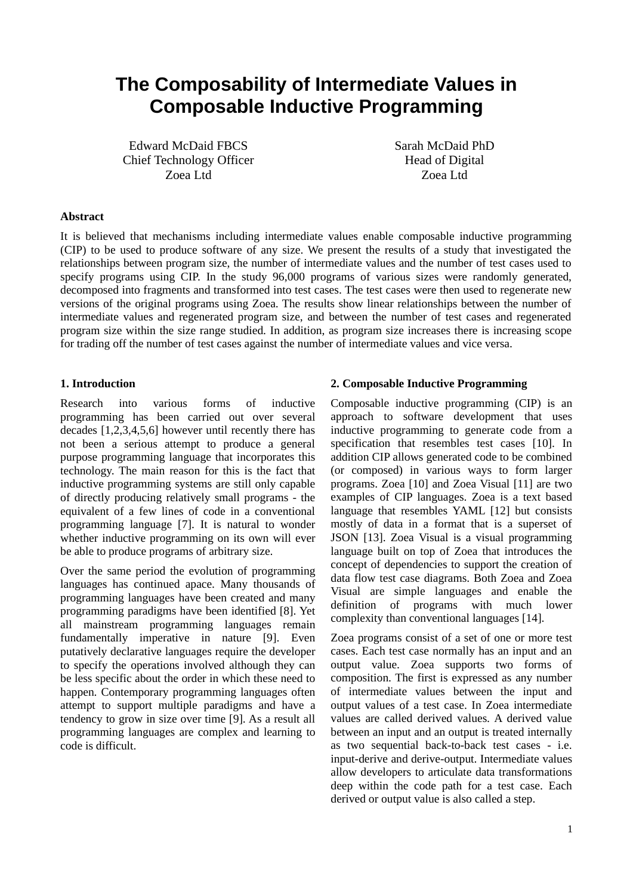# **The Composability of Intermediate Values in Composable Inductive Programming**

Edward McDaid FBCS Chief Technology Officer Zoea Ltd

Sarah McDaid PhD Head of Digital Zoea Ltd

## **Abstract**

It is believed that mechanisms including intermediate values enable composable inductive programming (CIP) to be used to produce software of any size. We present the results of a study that investigated the relationships between program size, the number of intermediate values and the number of test cases used to specify programs using CIP. In the study 96,000 programs of various sizes were randomly generated, decomposed into fragments and transformed into test cases. The test cases were then used to regenerate new versions of the original programs using Zoea. The results show linear relationships between the number of intermediate values and regenerated program size, and between the number of test cases and regenerated program size within the size range studied. In addition, as program size increases there is increasing scope for trading off the number of test cases against the number of intermediate values and vice versa.

## **1. Introduction**

Research into various forms of inductive programming has been carried out over several decades [1,2,3,4,5,6] however until recently there has not been a serious attempt to produce a general purpose programming language that incorporates this technology. The main reason for this is the fact that inductive programming systems are still only capable of directly producing relatively small programs - the equivalent of a few lines of code in a conventional programming language [7]. It is natural to wonder whether inductive programming on its own will ever be able to produce programs of arbitrary size.

Over the same period the evolution of programming languages has continued apace. Many thousands of programming languages have been created and many programming paradigms have been identified [8]. Yet all mainstream programming languages remain fundamentally imperative in nature [9]. Even putatively declarative languages require the developer to specify the operations involved although they can be less specific about the order in which these need to happen. Contemporary programming languages often attempt to support multiple paradigms and have a tendency to grow in size over time [9]. As a result all programming languages are complex and learning to code is difficult.

#### **2. Composable Inductive Programming**

Composable inductive programming (CIP) is an approach to software development that uses inductive programming to generate code from a specification that resembles test cases [10]. In addition CIP allows generated code to be combined (or composed) in various ways to form larger programs. Zoea [10] and Zoea Visual [11] are two examples of CIP languages. Zoea is a text based language that resembles YAML [12] but consists mostly of data in a format that is a superset of JSON [13]. Zoea Visual is a visual programming language built on top of Zoea that introduces the concept of dependencies to support the creation of data flow test case diagrams. Both Zoea and Zoea Visual are simple languages and enable the definition of programs with much lower complexity than conventional languages [14].

Zoea programs consist of a set of one or more test cases. Each test case normally has an input and an output value. Zoea supports two forms of composition. The first is expressed as any number of intermediate values between the input and output values of a test case. In Zoea intermediate values are called derived values. A derived value between an input and an output is treated internally as two sequential back-to-back test cases - i.e. input-derive and derive-output. Intermediate values allow developers to articulate data transformations deep within the code path for a test case. Each derived or output value is also called a step.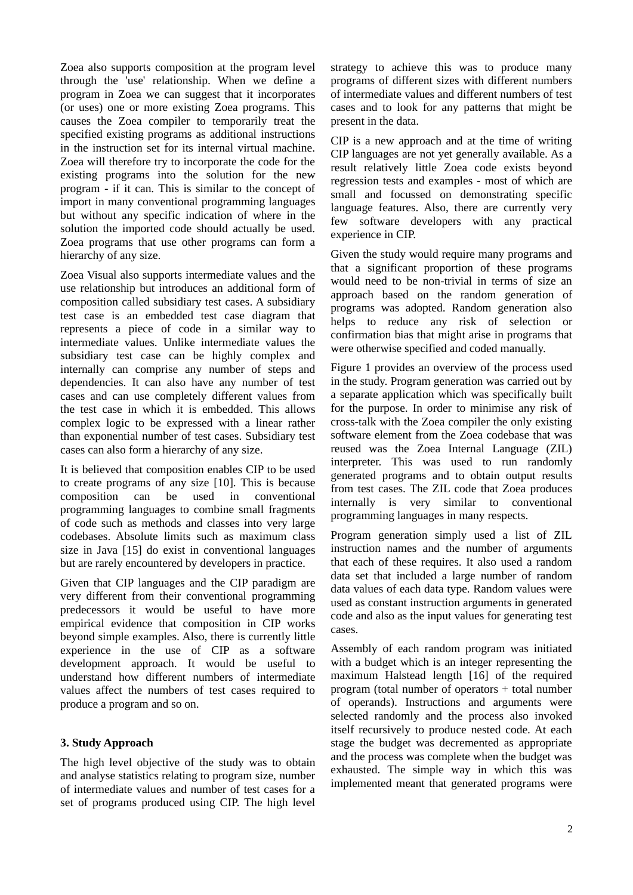Zoea also supports composition at the program level through the 'use' relationship. When we define a program in Zoea we can suggest that it incorporates (or uses) one or more existing Zoea programs. This causes the Zoea compiler to temporarily treat the specified existing programs as additional instructions in the instruction set for its internal virtual machine. Zoea will therefore try to incorporate the code for the existing programs into the solution for the new program - if it can. This is similar to the concept of import in many conventional programming languages but without any specific indication of where in the solution the imported code should actually be used. Zoea programs that use other programs can form a hierarchy of any size.

Zoea Visual also supports intermediate values and the use relationship but introduces an additional form of composition called subsidiary test cases. A subsidiary test case is an embedded test case diagram that represents a piece of code in a similar way to intermediate values. Unlike intermediate values the subsidiary test case can be highly complex and internally can comprise any number of steps and dependencies. It can also have any number of test cases and can use completely different values from the test case in which it is embedded. This allows complex logic to be expressed with a linear rather than exponential number of test cases. Subsidiary test cases can also form a hierarchy of any size.

It is believed that composition enables CIP to be used to create programs of any size [10]. This is because composition can be used in conventional programming languages to combine small fragments of code such as methods and classes into very large codebases. Absolute limits such as maximum class size in Java [15] do exist in conventional languages but are rarely encountered by developers in practice.

Given that CIP languages and the CIP paradigm are very different from their conventional programming predecessors it would be useful to have more empirical evidence that composition in CIP works beyond simple examples. Also, there is currently little experience in the use of CIP as a software development approach. It would be useful to understand how different numbers of intermediate values affect the numbers of test cases required to produce a program and so on.

# **3. Study Approach**

The high level objective of the study was to obtain and analyse statistics relating to program size, number of intermediate values and number of test cases for a set of programs produced using CIP. The high level

strategy to achieve this was to produce many programs of different sizes with different numbers of intermediate values and different numbers of test cases and to look for any patterns that might be present in the data.

CIP is a new approach and at the time of writing CIP languages are not yet generally available. As a result relatively little Zoea code exists beyond regression tests and examples - most of which are small and focussed on demonstrating specific language features. Also, there are currently very few software developers with any practical experience in CIP.

Given the study would require many programs and that a significant proportion of these programs would need to be non-trivial in terms of size an approach based on the random generation of programs was adopted. Random generation also helps to reduce any risk of selection or confirmation bias that might arise in programs that were otherwise specified and coded manually.

Figure 1 provides an overview of the process used in the study. Program generation was carried out by a separate application which was specifically built for the purpose. In order to minimise any risk of cross-talk with the Zoea compiler the only existing software element from the Zoea codebase that was reused was the Zoea Internal Language (ZIL) interpreter. This was used to run randomly generated programs and to obtain output results from test cases. The ZIL code that Zoea produces internally is very similar to conventional programming languages in many respects.

Program generation simply used a list of ZIL instruction names and the number of arguments that each of these requires. It also used a random data set that included a large number of random data values of each data type. Random values were used as constant instruction arguments in generated code and also as the input values for generating test cases.

Assembly of each random program was initiated with a budget which is an integer representing the maximum Halstead length [16] of the required program (total number of operators + total number of operands). Instructions and arguments were selected randomly and the process also invoked itself recursively to produce nested code. At each stage the budget was decremented as appropriate and the process was complete when the budget was exhausted. The simple way in which this was implemented meant that generated programs were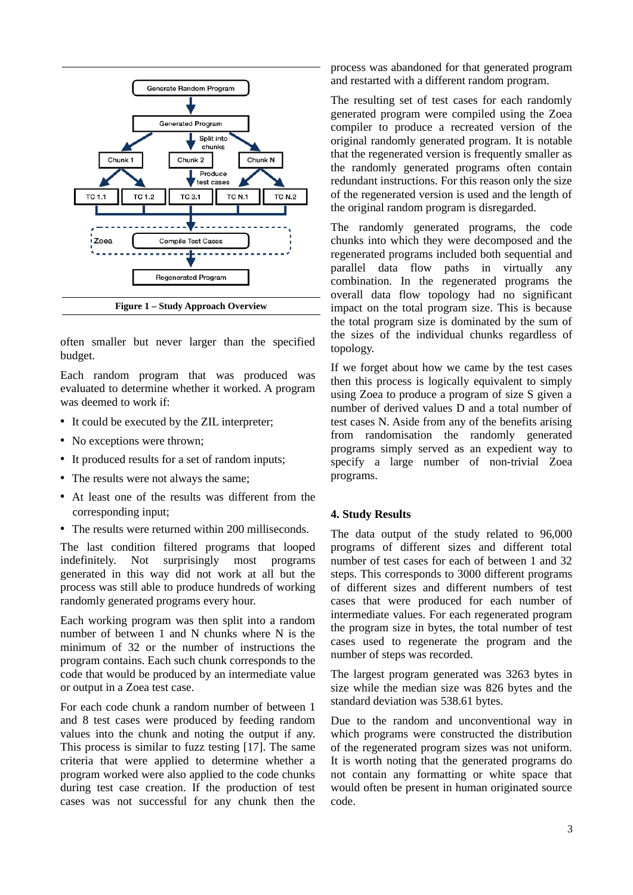

often smaller but never larger than the specified budget.

Each random program that was produced was evaluated to determine whether it worked. A program was deemed to work if:

- It could be executed by the ZIL interpreter;
- No exceptions were thrown;
- It produced results for a set of random inputs;
- The results were not always the same;
- At least one of the results was different from the corresponding input;
- The results were returned within 200 milliseconds.

The last condition filtered programs that looped indefinitely. Not surprisingly most programs generated in this way did not work at all but the process was still able to produce hundreds of working randomly generated programs every hour.

Each working program was then split into a random number of between 1 and N chunks where N is the minimum of 32 or the number of instructions the program contains. Each such chunk corresponds to the code that would be produced by an intermediate value or output in a Zoea test case.

For each code chunk a random number of between 1 and 8 test cases were produced by feeding random values into the chunk and noting the output if any. This process is similar to fuzz testing [17]. The same criteria that were applied to determine whether a program worked were also applied to the code chunks during test case creation. If the production of test cases was not successful for any chunk then the process was abandoned for that generated program and restarted with a different random program.

The resulting set of test cases for each randomly generated program were compiled using the Zoea compiler to produce a recreated version of the original randomly generated program. It is notable that the regenerated version is frequently smaller as the randomly generated programs often contain redundant instructions. For this reason only the size of the regenerated version is used and the length of the original random program is disregarded.

The randomly generated programs, the code chunks into which they were decomposed and the regenerated programs included both sequential and parallel data flow paths in virtually any combination. In the regenerated programs the overall data flow topology had no significant impact on the total program size. This is because the total program size is dominated by the sum of the sizes of the individual chunks regardless of topology.

If we forget about how we came by the test cases then this process is logically equivalent to simply using Zoea to produce a program of size S given a number of derived values D and a total number of test cases N. Aside from any of the benefits arising from randomisation the randomly generated programs simply served as an expedient way to specify a large number of non-trivial Zoea programs.

# **4. Study Results**

The data output of the study related to 96,000 programs of different sizes and different total number of test cases for each of between 1 and 32 steps. This corresponds to 3000 different programs of different sizes and different numbers of test cases that were produced for each number of intermediate values. For each regenerated program the program size in bytes, the total number of test cases used to regenerate the program and the number of steps was recorded.

The largest program generated was 3263 bytes in size while the median size was 826 bytes and the standard deviation was 538.61 bytes.

Due to the random and unconventional way in which programs were constructed the distribution of the regenerated program sizes was not uniform. It is worth noting that the generated programs do not contain any formatting or white space that would often be present in human originated source code.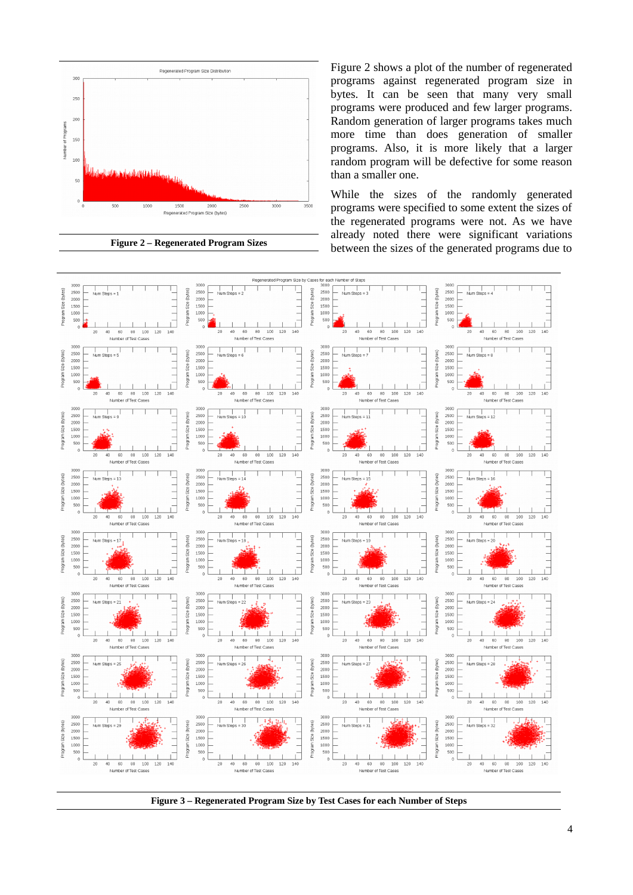

**Figure 2 – Regenerated Program Sizes**

Figure 2 shows a plot of the number of regenerated programs against regenerated program size in bytes. It can be seen that many very small programs were produced and few larger programs. Random generation of larger programs takes much more time than does generation of smaller programs. Also, it is more likely that a larger random program will be defective for some reason than a smaller one.

While the sizes of the randomly generated programs were specified to some extent the sizes of the regenerated programs were not. As we have already noted there were significant variations between the sizes of the generated programs due to



**Figure 3 – Regenerated Program Size by Test Cases for each Number of Steps**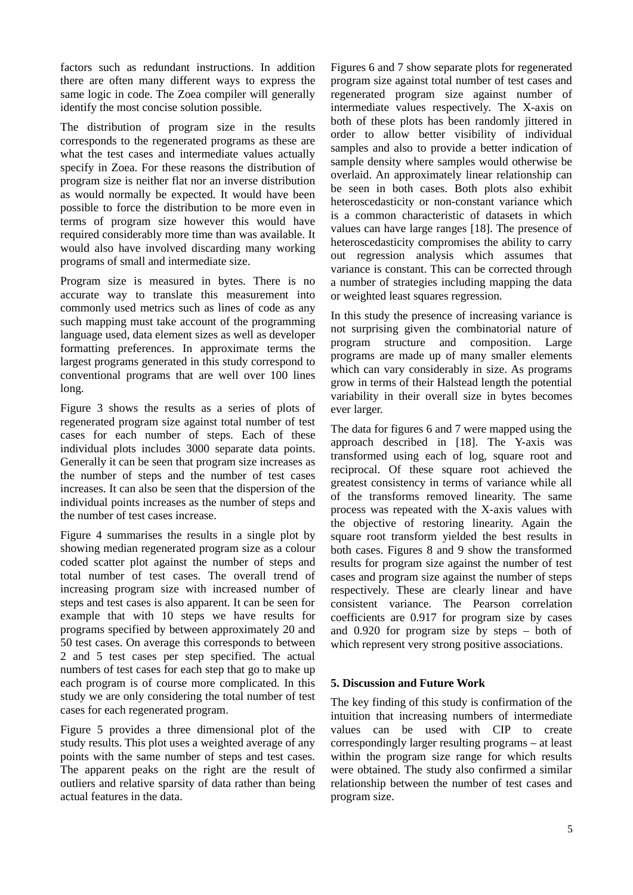factors such as redundant instructions. In addition there are often many different ways to express the same logic in code. The Zoea compiler will generally identify the most concise solution possible.

The distribution of program size in the results corresponds to the regenerated programs as these are what the test cases and intermediate values actually specify in Zoea. For these reasons the distribution of program size is neither flat nor an inverse distribution as would normally be expected. It would have been possible to force the distribution to be more even in terms of program size however this would have required considerably more time than was available. It would also have involved discarding many working programs of small and intermediate size.

Program size is measured in bytes. There is no accurate way to translate this measurement into commonly used metrics such as lines of code as any such mapping must take account of the programming language used, data element sizes as well as developer formatting preferences. In approximate terms the largest programs generated in this study correspond to conventional programs that are well over 100 lines long.

Figure 3 shows the results as a series of plots of regenerated program size against total number of test cases for each number of steps. Each of these individual plots includes 3000 separate data points. Generally it can be seen that program size increases as the number of steps and the number of test cases increases. It can also be seen that the dispersion of the individual points increases as the number of steps and the number of test cases increase.

Figure 4 summarises the results in a single plot by showing median regenerated program size as a colour coded scatter plot against the number of steps and total number of test cases. The overall trend of increasing program size with increased number of steps and test cases is also apparent. It can be seen for example that with 10 steps we have results for programs specified by between approximately 20 and 50 test cases. On average this corresponds to between 2 and 5 test cases per step specified. The actual numbers of test cases for each step that go to make up each program is of course more complicated. In this study we are only considering the total number of test cases for each regenerated program.

Figure 5 provides a three dimensional plot of the study results. This plot uses a weighted average of any points with the same number of steps and test cases. The apparent peaks on the right are the result of outliers and relative sparsity of data rather than being actual features in the data.

Figures 6 and 7 show separate plots for regenerated program size against total number of test cases and regenerated program size against number of intermediate values respectively. The X-axis on both of these plots has been randomly jittered in order to allow better visibility of individual samples and also to provide a better indication of sample density where samples would otherwise be overlaid. An approximately linear relationship can be seen in both cases. Both plots also exhibit heteroscedasticity or non-constant variance which is a common characteristic of datasets in which values can have large ranges [18]. The presence of heteroscedasticity compromises the ability to carry out regression analysis which assumes that variance is constant. This can be corrected through a number of strategies including mapping the data or weighted least squares regression.

In this study the presence of increasing variance is not surprising given the combinatorial nature of program structure and composition. Large programs are made up of many smaller elements which can vary considerably in size. As programs grow in terms of their Halstead length the potential variability in their overall size in bytes becomes ever larger.

The data for figures 6 and 7 were mapped using the approach described in [18]. The Y-axis was transformed using each of log, square root and reciprocal. Of these square root achieved the greatest consistency in terms of variance while all of the transforms removed linearity. The same process was repeated with the X-axis values with the objective of restoring linearity. Again the square root transform yielded the best results in both cases. Figures 8 and 9 show the transformed results for program size against the number of test cases and program size against the number of steps respectively. These are clearly linear and have consistent variance. The Pearson correlation coefficients are 0.917 for program size by cases and 0.920 for program size by steps – both of which represent very strong positive associations.

# **5. Discussion and Future Work**

The key finding of this study is confirmation of the intuition that increasing numbers of intermediate values can be used with CIP to create correspondingly larger resulting programs – at least within the program size range for which results were obtained. The study also confirmed a similar relationship between the number of test cases and program size.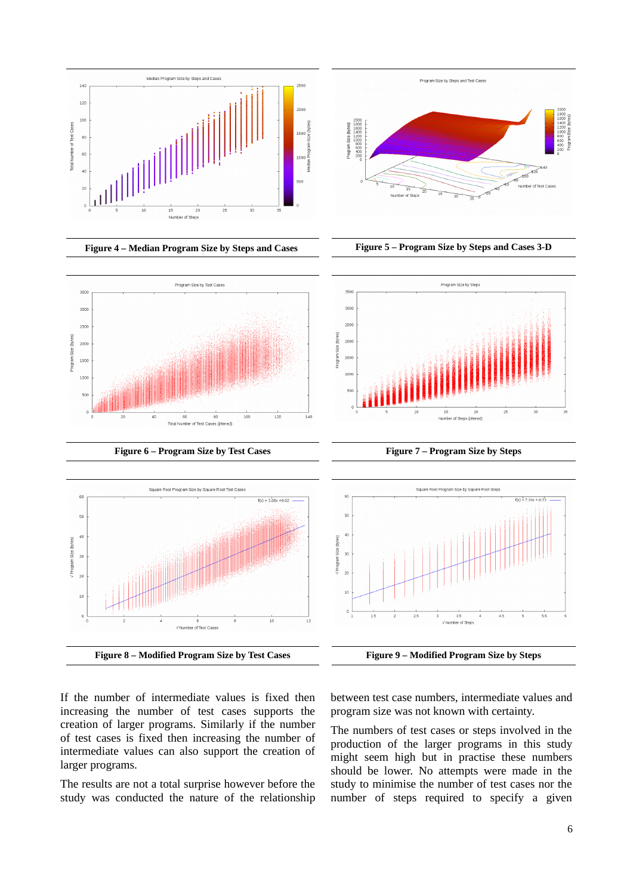



Program Size by Test Cases

350

 $3000$ 

2500

 $200<sup>o</sup>$ 

150

1000  $50<sup>°</sup>$ 

Program Size (bytes)





**Figure 6 – Program Size by Test Cases Figure 7 – Program Size by Steps**

 $120$ 





If the number of intermediate values is fixed then increasing the number of test cases supports the creation of larger programs. Similarly if the number of test cases is fixed then increasing the number of intermediate values can also support the creation of larger programs.

The results are not a total surprise however before the study was conducted the nature of the relationship between test case numbers, intermediate values and program size was not known with certainty.

The numbers of test cases or steps involved in the production of the larger programs in this study might seem high but in practise these numbers should be lower. No attempts were made in the study to minimise the number of test cases nor the number of steps required to specify a given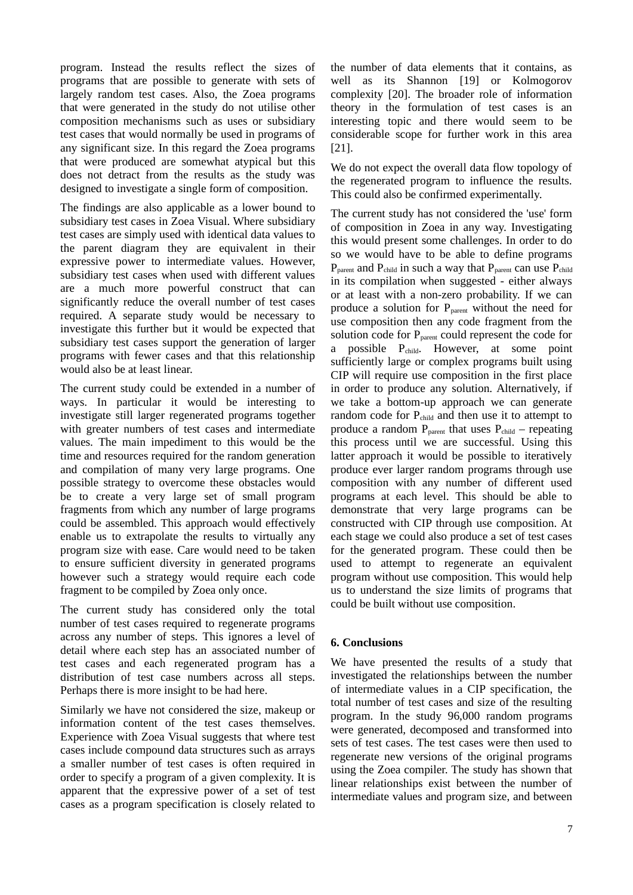program. Instead the results reflect the sizes of programs that are possible to generate with sets of largely random test cases. Also, the Zoea programs that were generated in the study do not utilise other composition mechanisms such as uses or subsidiary test cases that would normally be used in programs of any significant size. In this regard the Zoea programs that were produced are somewhat atypical but this does not detract from the results as the study was designed to investigate a single form of composition.

The findings are also applicable as a lower bound to subsidiary test cases in Zoea Visual. Where subsidiary test cases are simply used with identical data values to the parent diagram they are equivalent in their expressive power to intermediate values. However, subsidiary test cases when used with different values are a much more powerful construct that can significantly reduce the overall number of test cases required. A separate study would be necessary to investigate this further but it would be expected that subsidiary test cases support the generation of larger programs with fewer cases and that this relationship would also be at least linear.

The current study could be extended in a number of ways. In particular it would be interesting to investigate still larger regenerated programs together with greater numbers of test cases and intermediate values. The main impediment to this would be the time and resources required for the random generation and compilation of many very large programs. One possible strategy to overcome these obstacles would be to create a very large set of small program fragments from which any number of large programs could be assembled. This approach would effectively enable us to extrapolate the results to virtually any program size with ease. Care would need to be taken to ensure sufficient diversity in generated programs however such a strategy would require each code fragment to be compiled by Zoea only once.

The current study has considered only the total number of test cases required to regenerate programs across any number of steps. This ignores a level of detail where each step has an associated number of test cases and each regenerated program has a distribution of test case numbers across all steps. Perhaps there is more insight to be had here.

Similarly we have not considered the size, makeup or information content of the test cases themselves. Experience with Zoea Visual suggests that where test cases include compound data structures such as arrays a smaller number of test cases is often required in order to specify a program of a given complexity. It is apparent that the expressive power of a set of test cases as a program specification is closely related to the number of data elements that it contains, as well as its Shannon [19] or Kolmogorov complexity [20]. The broader role of information theory in the formulation of test cases is an interesting topic and there would seem to be considerable scope for further work in this area [21].

We do not expect the overall data flow topology of the regenerated program to influence the results. This could also be confirmed experimentally.

The current study has not considered the 'use' form of composition in Zoea in any way. Investigating this would present some challenges. In order to do so we would have to be able to define programs  $P_{parent}$  and  $P_{child}$  in such a way that  $P_{parent}$  can use  $P_{child}$ in its compilation when suggested - either always or at least with a non-zero probability. If we can produce a solution for  $P_{parent}$  without the need for use composition then any code fragment from the solution code for  $P_{parent}$  could represent the code for a possible  $P_{child}$ . However, at some point sufficiently large or complex programs built using CIP will require use composition in the first place in order to produce any solution. Alternatively, if we take a bottom-up approach we can generate random code for  $P_{child}$  and then use it to attempt to produce a random  $P_{parent}$  that uses  $P_{child}$  – repeating this process until we are successful. Using this latter approach it would be possible to iteratively produce ever larger random programs through use composition with any number of different used programs at each level. This should be able to demonstrate that very large programs can be constructed with CIP through use composition. At each stage we could also produce a set of test cases for the generated program. These could then be used to attempt to regenerate an equivalent program without use composition. This would help us to understand the size limits of programs that could be built without use composition.

# **6. Conclusions**

We have presented the results of a study that investigated the relationships between the number of intermediate values in a CIP specification, the total number of test cases and size of the resulting program. In the study 96,000 random programs were generated, decomposed and transformed into sets of test cases. The test cases were then used to regenerate new versions of the original programs using the Zoea compiler. The study has shown that linear relationships exist between the number of intermediate values and program size, and between